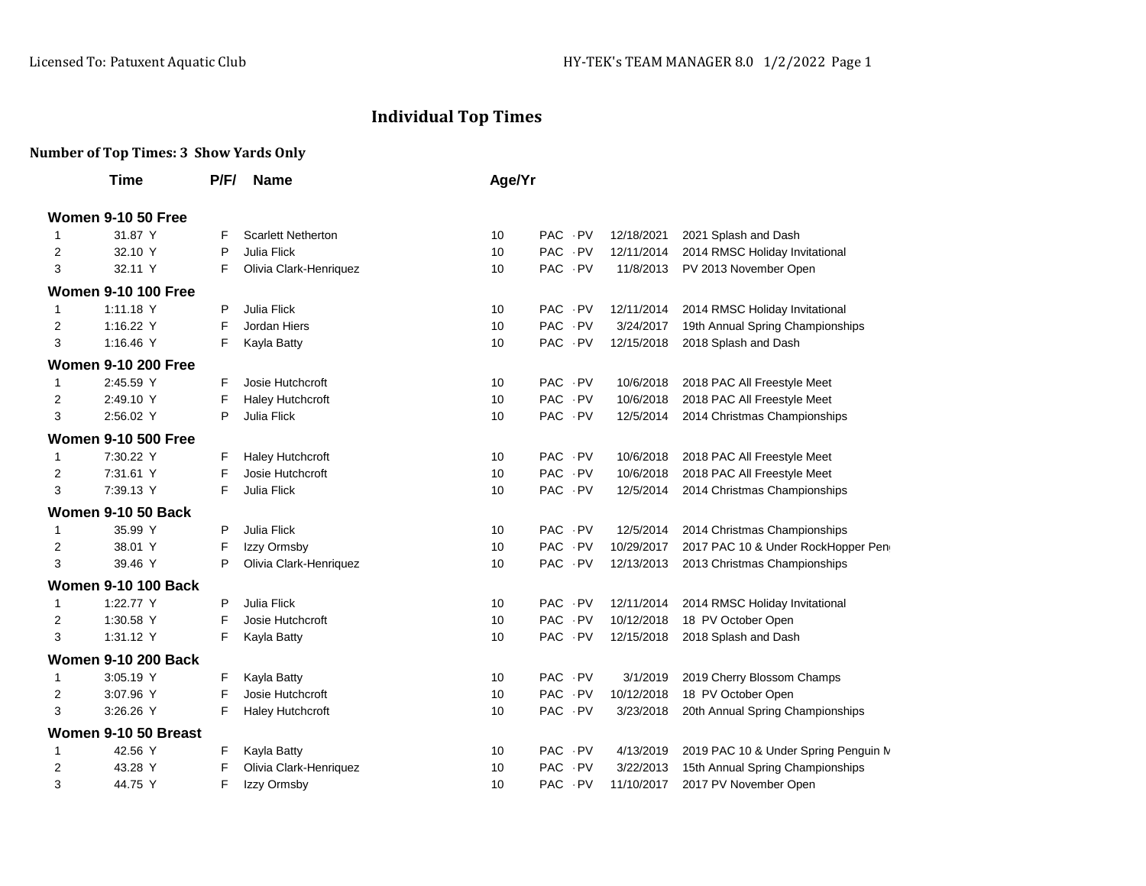## **Individual Top Times**

## **Number of Top Times: 3 Show Yards Only**

|                | Time                       | P/F/ | <b>Name</b>               | Age/Yr |                    |            |                                      |
|----------------|----------------------------|------|---------------------------|--------|--------------------|------------|--------------------------------------|
|                | <b>Women 9-10 50 Free</b>  |      |                           |        |                    |            |                                      |
| 1              | 31.87 Y                    | F    | <b>Scarlett Netherton</b> | 10     | PAC PV             | 12/18/2021 | 2021 Splash and Dash                 |
| $\overline{2}$ | 32.10 Y                    | P    | Julia Flick               | 10     | PAC PV             | 12/11/2014 | 2014 RMSC Holiday Invitational       |
| 3              | 32.11 Y                    | F    | Olivia Clark-Henriquez    | 10     | PAC PV             | 11/8/2013  | PV 2013 November Open                |
|                | <b>Women 9-10 100 Free</b> |      |                           |        |                    |            |                                      |
| 1              | 1:11.18 Y                  | P    | Julia Flick               | 10     | PAC PV             | 12/11/2014 | 2014 RMSC Holiday Invitational       |
| 2              | 1:16.22 Y                  | F    | Jordan Hiers              | 10     | PAC PV             | 3/24/2017  | 19th Annual Spring Championships     |
| 3              | 1:16.46 Y                  | F    | Kayla Batty               | 10     | PAC<br>$\cdot$ PV  | 12/15/2018 | 2018 Splash and Dash                 |
|                | <b>Women 9-10 200 Free</b> |      |                           |        |                    |            |                                      |
| 1              | 2:45.59 Y                  | F.   | Josie Hutchcroft          | 10     | <b>PAC</b><br>- PV | 10/6/2018  | 2018 PAC All Freestyle Meet          |
| 2              | 2:49.10 Y                  | F    | <b>Haley Hutchcroft</b>   | 10     | <b>PAC</b><br>- PV | 10/6/2018  | 2018 PAC All Freestyle Meet          |
| 3              | 2:56.02 Y                  | P    | Julia Flick               | 10     | PAC PV             | 12/5/2014  | 2014 Christmas Championships         |
|                | <b>Women 9-10 500 Free</b> |      |                           |        |                    |            |                                      |
| 1              | 7:30.22 Y                  | F.   | Haley Hutchcroft          | 10     | PAC PV             | 10/6/2018  | 2018 PAC All Freestyle Meet          |
| 2              | 7:31.61 Y                  | F    | Josie Hutchcroft          | 10     | PAC PV             | 10/6/2018  | 2018 PAC All Freestyle Meet          |
| 3              | 7:39.13 Y                  | F    | Julia Flick               | 10     | PAC PV             | 12/5/2014  | 2014 Christmas Championships         |
|                | <b>Women 9-10 50 Back</b>  |      |                           |        |                    |            |                                      |
| 1              | 35.99 Y                    | P    | Julia Flick               | 10     | PAC PV             | 12/5/2014  | 2014 Christmas Championships         |
| 2              | 38.01 Y                    | F    | Izzy Ormsby               | 10     | PAC PV             | 10/29/2017 | 2017 PAC 10 & Under RockHopper Peng  |
| 3              | 39.46 Y                    | P    | Olivia Clark-Henriquez    | 10     | PAC PV             | 12/13/2013 | 2013 Christmas Championships         |
|                | <b>Women 9-10 100 Back</b> |      |                           |        |                    |            |                                      |
| $\mathbf{1}$   | 1:22.77 Y                  | P    | Julia Flick               | 10     | <b>PAC</b><br>- PV | 12/11/2014 | 2014 RMSC Holiday Invitational       |
| 2              | 1:30.58 Y                  | F    | Josie Hutchcroft          | 10     | PAC PV             | 10/12/2018 | 18 PV October Open                   |
| 3              | 1:31.12 Y                  | F    | Kayla Batty               | 10     | PAC PV             | 12/15/2018 | 2018 Splash and Dash                 |
|                | <b>Women 9-10 200 Back</b> |      |                           |        |                    |            |                                      |
| $\mathbf{1}$   | 3:05.19 Y                  | F    | Kayla Batty               | 10     | PAC PV             | 3/1/2019   | 2019 Cherry Blossom Champs           |
| 2              | 3:07.96 Y                  | F    | Josie Hutchcroft          | 10     | PAC PV             | 10/12/2018 | 18 PV October Open                   |
| 3              | 3:26.26 Y                  | F    | Haley Hutchcroft          | 10     | PAC PV             | 3/23/2018  | 20th Annual Spring Championships     |
|                | Women 9-10 50 Breast       |      |                           |        |                    |            |                                      |
| 1              | 42.56 Y                    | F    | Kayla Batty               | 10     | PAC PV             | 4/13/2019  | 2019 PAC 10 & Under Spring Penguin M |
| 2              | 43.28 Y                    | F    | Olivia Clark-Henriquez    | 10     | <b>PAC</b><br>. PV | 3/22/2013  | 15th Annual Spring Championships     |
| 3              | 44.75 Y                    | F    | Izzy Ormsby               | 10     | <b>PAC</b><br>- PV | 11/10/2017 | 2017 PV November Open                |